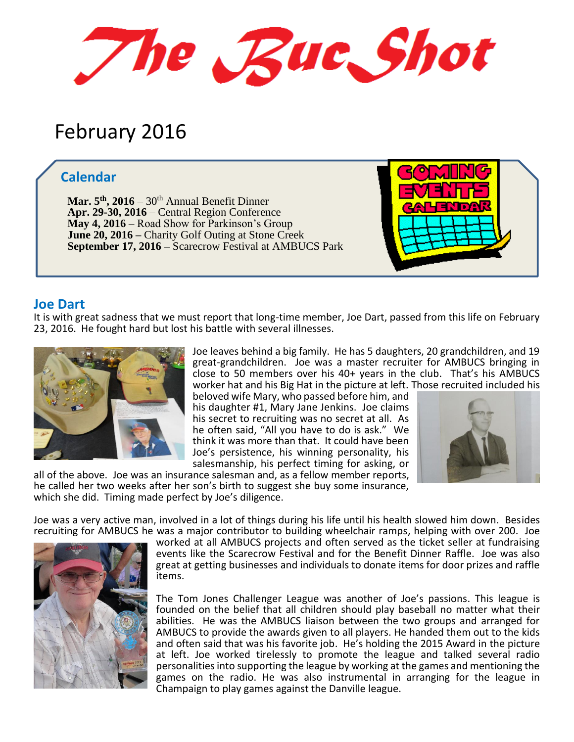The Rue Shot

# February 2016

## **Calendar**

**Mar. 5 th, 2016** – 30th Annual Benefit Dinner **Apr. 29-30, 2016** – Central Region Conference **May 4, 2016** – Road Show for Parkinson's Group **June 20, 2016 –** Charity Golf Outing at Stone Creek **September 17, 2016 –** Scarecrow Festival at AMBUCS Park



#### **Joe Dart**

It is with great sadness that we must report that long-time member, Joe Dart, passed from this life on February 23, 2016. He fought hard but lost his battle with several illnesses.



Joe leaves behind a big family. He has 5 daughters, 20 grandchildren, and 19 great-grandchildren. Joe was a master recruiter for AMBUCS bringing in close to 50 members over his 40+ years in the club. That's his AMBUCS worker hat and his Big Hat in the picture at left. Those recruited included his

beloved wife Mary, who passed before him, and his daughter #1, Mary Jane Jenkins. Joe claims his secret to recruiting was no secret at all. As he often said, "All you have to do is ask." We think it was more than that. It could have been Joe's persistence, his winning personality, his salesmanship, his perfect timing for asking, or



all of the above. Joe was an insurance salesman and, as a fellow member reports, he called her two weeks after her son's birth to suggest she buy some insurance, which she did. Timing made perfect by Joe's diligence.

Joe was a very active man, involved in a lot of things during his life until his health slowed him down. Besides recruiting for AMBUCS he was a major contributor to building wheelchair ramps, helping with over 200. Joe



worked at all AMBUCS projects and often served as the ticket seller at fundraising events like the Scarecrow Festival and for the Benefit Dinner Raffle. Joe was also great at getting businesses and individuals to donate items for door prizes and raffle items.

The Tom Jones Challenger League was another of Joe's passions. This league is founded on the belief that all children should play baseball no matter what their abilities. He was the AMBUCS liaison between the two groups and arranged for AMBUCS to provide the awards given to all players. He handed them out to the kids and often said that was his favorite job. He's holding the 2015 Award in the picture at left. Joe worked tirelessly to promote the league and talked several radio personalities into supporting the league by working at the games and mentioning the games on the radio. He was also instrumental in arranging for the league in Champaign to play games against the Danville league.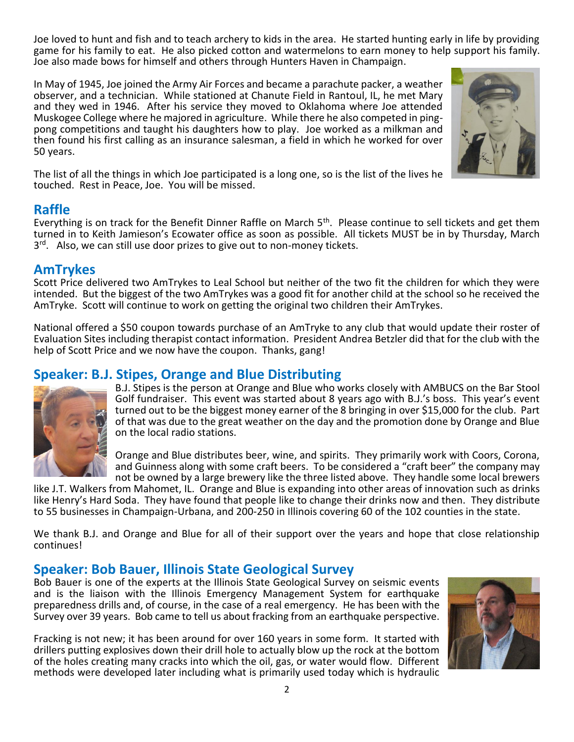Joe loved to hunt and fish and to teach archery to kids in the area. He started hunting early in life by providing game for his family to eat. He also picked cotton and watermelons to earn money to help support his family. Joe also made bows for himself and others through Hunters Haven in Champaign.

In May of 1945, Joe joined the Army Air Forces and became a parachute packer, a weather observer, and a technician. While stationed at Chanute Field in Rantoul, IL, he met Mary and they wed in 1946. After his service they moved to Oklahoma where Joe attended Muskogee College where he majored in agriculture. While there he also competed in pingpong competitions and taught his daughters how to play. Joe worked as a milkman and then found his first calling as an insurance salesman, a field in which he worked for over 50 years.



The list of all the things in which Joe participated is a long one, so is the list of the lives he touched. Rest in Peace, Joe. You will be missed.

# **Raffle**

Everything is on track for the Benefit Dinner Raffle on March 5<sup>th</sup>. Please continue to sell tickets and get them turned in to Keith Jamieson's Ecowater office as soon as possible. All tickets MUST be in by Thursday, March 3<sup>rd</sup>. Also, we can still use door prizes to give out to non-money tickets.

## **AmTrykes**

Scott Price delivered two AmTrykes to Leal School but neither of the two fit the children for which they were intended. But the biggest of the two AmTrykes was a good fit for another child at the school so he received the AmTryke. Scott will continue to work on getting the original two children their AmTrykes.

National offered a \$50 coupon towards purchase of an AmTryke to any club that would update their roster of Evaluation Sites including therapist contact information. President Andrea Betzler did that for the club with the help of Scott Price and we now have the coupon. Thanks, gang!

# **Speaker: B.J. Stipes, Orange and Blue Distributing**



B.J. Stipes is the person at Orange and Blue who works closely with AMBUCS on the Bar Stool Golf fundraiser. This event was started about 8 years ago with B.J.'s boss. This year's event turned out to be the biggest money earner of the 8 bringing in over \$15,000 for the club. Part of that was due to the great weather on the day and the promotion done by Orange and Blue on the local radio stations.

Orange and Blue distributes beer, wine, and spirits. They primarily work with Coors, Corona, and Guinness along with some craft beers. To be considered a "craft beer" the company may not be owned by a large brewery like the three listed above. They handle some local brewers

like J.T. Walkers from Mahomet, IL. Orange and Blue is expanding into other areas of innovation such as drinks like Henry's Hard Soda. They have found that people like to change their drinks now and then. They distribute to 55 businesses in Champaign-Urbana, and 200-250 in Illinois covering 60 of the 102 counties in the state.

We thank B.J. and Orange and Blue for all of their support over the years and hope that close relationship continues!

# **Speaker: Bob Bauer, Illinois State Geological Survey**

Bob Bauer is one of the experts at the Illinois State Geological Survey on seismic events and is the liaison with the Illinois Emergency Management System for earthquake preparedness drills and, of course, in the case of a real emergency. He has been with the Survey over 39 years. Bob came to tell us about fracking from an earthquake perspective.

Fracking is not new; it has been around for over 160 years in some form. It started with drillers putting explosives down their drill hole to actually blow up the rock at the bottom of the holes creating many cracks into which the oil, gas, or water would flow. Different methods were developed later including what is primarily used today which is hydraulic

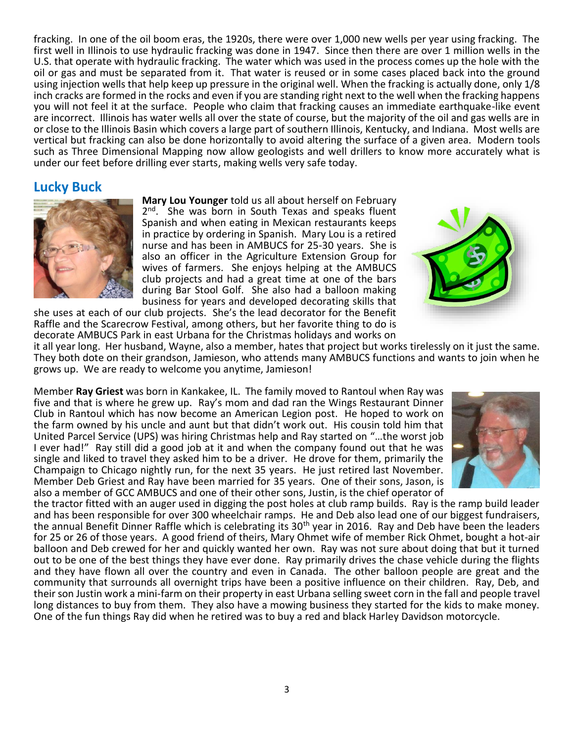fracking. In one of the oil boom eras, the 1920s, there were over 1,000 new wells per year using fracking. The first well in Illinois to use hydraulic fracking was done in 1947. Since then there are over 1 million wells in the U.S. that operate with hydraulic fracking. The water which was used in the process comes up the hole with the oil or gas and must be separated from it. That water is reused or in some cases placed back into the ground using injection wells that help keep up pressure in the original well. When the fracking is actually done, only 1/8 inch cracks are formed in the rocks and even if you are standing right next to the well when the fracking happens you will not feel it at the surface. People who claim that fracking causes an immediate earthquake-like event are incorrect. Illinois has water wells all over the state of course, but the majority of the oil and gas wells are in or close to the Illinois Basin which covers a large part of southern Illinois, Kentucky, and Indiana. Most wells are vertical but fracking can also be done horizontally to avoid altering the surface of a given area. Modern tools such as Three Dimensional Mapping now allow geologists and well drillers to know more accurately what is under our feet before drilling ever starts, making wells very safe today.

#### **Lucky Buck**



**Mary Lou Younger** told us all about herself on February 2<sup>nd</sup>. She was born in South Texas and speaks fluent Spanish and when eating in Mexican restaurants keeps in practice by ordering in Spanish. Mary Lou is a retired nurse and has been in AMBUCS for 25-30 years. She is also an officer in the Agriculture Extension Group for wives of farmers. She enjoys helping at the AMBUCS club projects and had a great time at one of the bars during Bar Stool Golf. She also had a balloon making business for years and developed decorating skills that

she uses at each of our club projects. She's the lead decorator for the Benefit Raffle and the Scarecrow Festival, among others, but her favorite thing to do is decorate AMBUCS Park in east Urbana for the Christmas holidays and works on



it all year long. Her husband, Wayne, also a member, hates that project but works tirelessly on it just the same. They both dote on their grandson, Jamieson, who attends many AMBUCS functions and wants to join when he grows up. We are ready to welcome you anytime, Jamieson!

Member **Ray Griest** was born in Kankakee, IL. The family moved to Rantoul when Ray was five and that is where he grew up. Ray's mom and dad ran the Wings Restaurant Dinner Club in Rantoul which has now become an American Legion post. He hoped to work on the farm owned by his uncle and aunt but that didn't work out. His cousin told him that United Parcel Service (UPS) was hiring Christmas help and Ray started on "…the worst job I ever had!" Ray still did a good job at it and when the company found out that he was single and liked to travel they asked him to be a driver. He drove for them, primarily the Champaign to Chicago nightly run, for the next 35 years. He just retired last November. Member Deb Griest and Ray have been married for 35 years. One of their sons, Jason, is also a member of GCC AMBUCS and one of their other sons, Justin, is the chief operator of



the tractor fitted with an auger used in digging the post holes at club ramp builds. Ray is the ramp build leader and has been responsible for over 300 wheelchair ramps. He and Deb also lead one of our biggest fundraisers, the annual Benefit Dinner Raffle which is celebrating its 30<sup>th</sup> year in 2016. Ray and Deb have been the leaders for 25 or 26 of those years. A good friend of theirs, Mary Ohmet wife of member Rick Ohmet, bought a hot-air balloon and Deb crewed for her and quickly wanted her own. Ray was not sure about doing that but it turned out to be one of the best things they have ever done. Ray primarily drives the chase vehicle during the flights and they have flown all over the country and even in Canada. The other balloon people are great and the community that surrounds all overnight trips have been a positive influence on their children. Ray, Deb, and their son Justin work a mini-farm on their property in east Urbana selling sweet corn in the fall and people travel long distances to buy from them. They also have a mowing business they started for the kids to make money. One of the fun things Ray did when he retired was to buy a red and black Harley Davidson motorcycle.